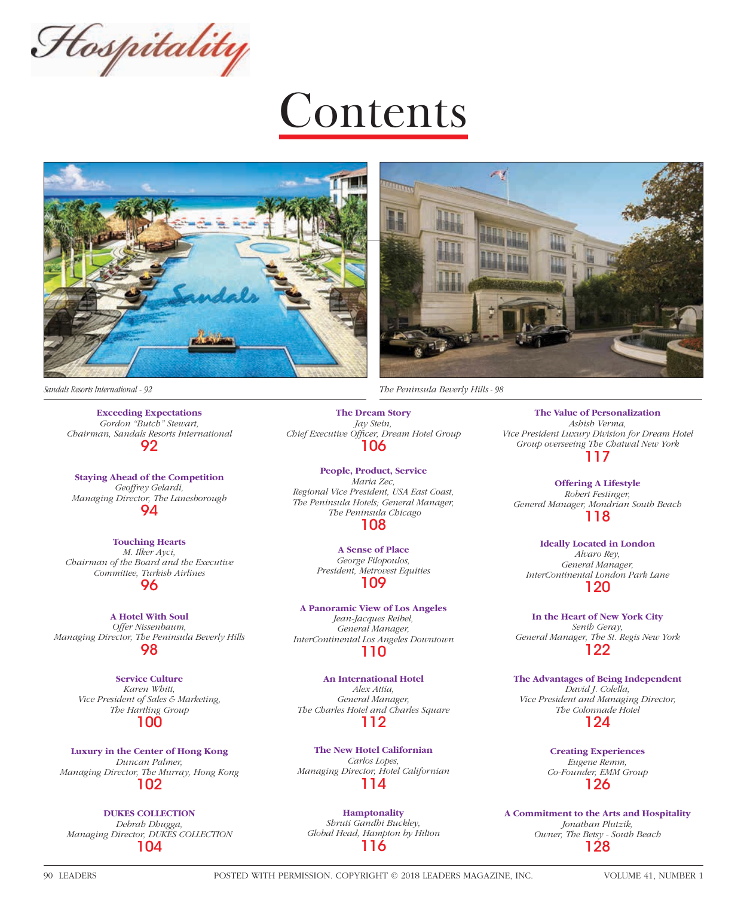Hospitality

## **Contents**





 *Sandals Resorts International - 92 The Peninsula Beverly Hills - 98*

**Exceeding Expectations**  *Gordon "Butch" Stewart, Chairman, Sandals Resorts International* 92

**Staying Ahead of the Competition** *Geoffrey Gelardi, Managing Director, The Lanesborough* 94

**Touching Hearts** *M. Ilker Ayci, Chairman of the Board and the Executive Committee, Turkish Airlines* 96

**A Hotel With Soul** *Offer Nissenbaum, Managing Director, The Peninsula Beverly Hills* 98

> **Service Culture** *Karen Whitt, Vice President of Sales & Marketing, The Hartling Group* 100

**Luxury in the Center of Hong Kong** *Duncan Palmer, Managing Director, The Murray, Hong Kong* 102

**DUKES COLLECTION** *Debrah Dhugga, Managing Director, DUKES COLLECTION* 104

**The Dream Story** *Jay Stein,*  **Chief Executive Officer, Dream Hotel Group** 106

**People, Product, Service** *Maria Zec, Regional Vice President, USA East Coast, The Peninsula Hotels; General Manager, The Peninsula Chicago*

108

**A Sense of Place** *George Filopoulos, President, Metrovest Equities* 109

**A Panoramic View of Los Angeles** *Jean-Jacques Reibel, General Manager, InterContinental Los Angeles Downtown* 110

**An International Hotel** *Alex Attia, General Manager, The Charles Hotel and Charles Square* 112

**The New Hotel Californian** *Carlos Lopes, Managing Director, Hotel Californian* 114

**Hamptonality** *Shruti Gandhi Buckley, Global Head, Hampton by Hilton* 116

**The Value of Personalization** *Ashish Verma, Vice President Luxury Division for Dream Hotel Group overseeing The Chatwal New York* 117

**Offering A Lifestyle** *Robert Festinger, General Manager, Mondrian South Beach* 118

**Ideally Located in London** *Alvaro Rey, General Manager, InterContinental London Park Lane* 120

**In the Heart of New York City** *Senih Geray, General Manager, The St. Regis New York* 122

**The Advantages of Being Independent** *David J. Colella, Vice President and Managing Director, The Colonnade Hotel* 124

> **Creating Experiences** *Eugene Remm, Co-Founder, EMM Group* 126

**A Commitment to the Arts and Hospitality** *Jonathan Plutzik, Owner, The Betsy - South Beach* 128